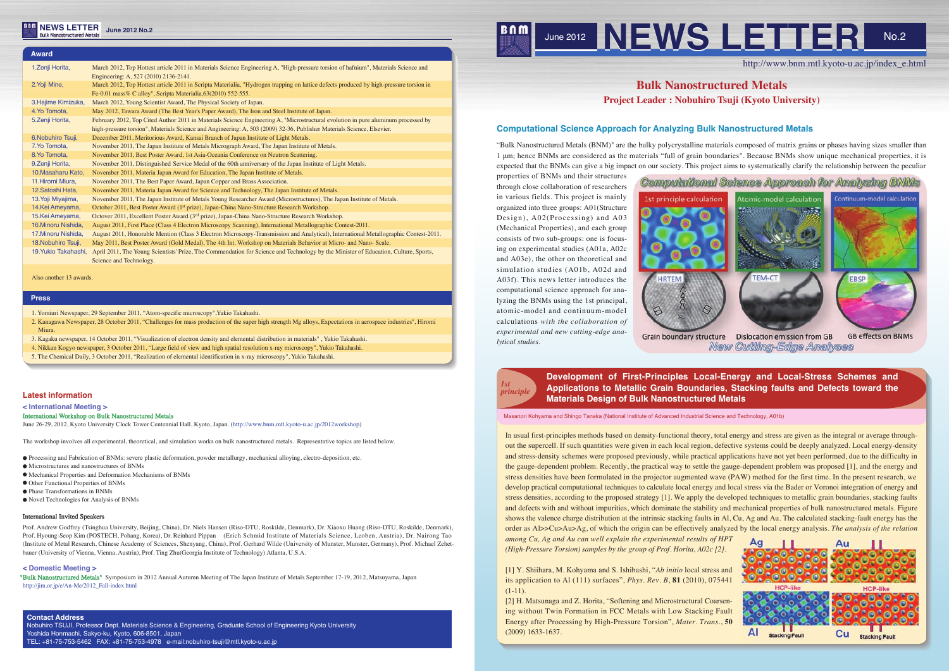

http://www.bnm.mtl.kyoto-u.ac.jp/index\_e.html

# **Bulk Nanostructured Metals Project Leader : Nobuhiro Tsuji (Kyoto University)**

*among Cu, Ag and Au can well explain the experimental results of HPT (High-Pressure Torsion) samples by the group of Prof. Horita, A02c [2].* [1] Y. Shiihara, M. Kohyama and S. Ishibashi, "*Ab initio* local stress and its application to Al (111) surfaces", *Phys. Rev. B*, **81** (2010), 075441  $(1-11)$ . [2] H. Matsunaga and Z. Horita, "Softening and Microstructural Coarsening without Twin Formation in FCC Metals with Low Stacking Fault Energy after Processing by High-Pressure Torsion", *Mater. Trans*., **50** (2009) 1633-1637. AI **Stacking Fault Cu Stacking Fault** 

In usual first-principles methods based on density-functional theory, total energy and stress are given as the integral or average throughout the supercell. If such quantities were given in each local region, defective systems could be deeply analyzed. Local energy-density and stress-density schemes were proposed previously, while practical applications have not yet been performed, due to the difficulty in the gauge-dependent problem. Recently, the practical way to settle the gauge-dependent problem was proposed [1], and the energy and stress densities have been formulated in the projector augmented wave (PAW) method for the first time. In the present research, we develop practical computational techniques to calculate local energy and local stress via the Bader or Voronoi integration of energy and stress densities, according to the proposed strategy [1]. We apply the developed techniques to metallic grain boundaries, stacking faults and defects with and without impurities, which dominate the stability and mechanical properties of bulk nanostructured metals. Figure shows the valence charge distribution at the intrinsic stacking faults in Al, Cu, Ag and Au. The calculated stacking-fault energy has the order as Al>>Cu>Au>Ag, of which the origin can be effectively analyzed by the local energy analysis. *The analysis of the relation* 

### **Latest information**

**< International Meeting >**

#### International Workshop on Bulk Nanostructured Metals

June 26-29, 2012, Kyoto University Clock Tower Centennial Hall, Kyoto, Japan. (http://www.bnm.mtl.kyoto-u.ac.jp/2012workshop)

The workshop involves all experimental, theoretical, and simulation works on bulk nanostructured metals. Representative topics are listed below.

- Processing and Fabrication of BNMs: severe plastic deformation, powder metallurgy, mechanical alloying, electro-deposition, etc.
- Microstructures and nanostructures of BNMs
- Mechanical Properties and Deformation Mechanisms of BNMs
- Other Functional Properties of BNMs
- Phase Transformations in BNMs
- Novel Technologies for Analysis of BNMs

### International Invited Speakers

Prof. Andrew Godfrey (Tsinghua University, Beijing, China), Dr. Niels Hansen (Riso-DTU, Roskilde, Denmark), Dr. Xiaoxu Huang (Riso-DTU, Roskilde, Denmark), Prof. Hyoung-Seop Kim (POSTECH, Pohang, Korea), Dr. Reinhard Pippan (Erich Schmid Institute of Materials Science, Leoben, Austria), Dr. Nairong Tao (Institute of Metal Research, Chinese Academy of Sciences, Shenyang, China), Prof. Gerhard Wilde (University of Munster, Munster, Germany), Prof. Michael Zehetbauer (University of Vienna, Vienna, Austria), Prof. Ting Zhu(Georgia Institute of Technology) Atlanta, U.S.A.

#### **< Domestic Meeting >**

"Bulk Nanostructured Metals" Symposium in 2012 Annual Autumn Meeting of The Japan Institute of Metals September 17-19, 2012, Matsuyama, Japan http://jim.or.jp/e/An-Me/2012\_Fall-index.html

Masanori Kohyama and Shingo Tanaka (National Institute of Advanced Industrial Science and Technology, A01b)

### **Contact Address**

Nobuhiro TSUJI, Professor Dept. Materials Science & Engineering, Graduate School of Engineering Kyoto University Yoshida Honmachi, Sakyo-ku, Kyoto, 606-8501, Japan TEL: +81-75-753-5462 FAX: +81-75-753-4978 e-mail:nobuhiro-tsuji@mtl.kyoto-u.ac.jp

# **NEWS LETTER June 2012 No.2**

# **Computational Science Approach for Analyzing Bulk Nanostructured Metals**

"Bulk Nanostructured Metals (BNM)" are the bulky polycrystalline materials composed of matrix grains or phases having sizes smaller than 1 μm; hence BNMs are considered as the materials "full of grain boundaries". Because BNMs show unique mechanical properties, it is expected that the BNMs can give a big impact on our society. This project aims to systematically clarify the relationship between the peculiar

properties of BNMs and their structures through close collaboration of researchers in various fields. This project is mainly organized into three groups: A01(Structure Design), A02(Processing) and A03 (Mechanical Properties), and each group consists of two sub-groups: one is focusing on experimental studies (A01a, A02c and A03e), the other on theoretical and simulation studies (A01b, A02d and A03f). This news letter introduces the computational science approach for analyzing the BNMs using the 1st principal, atomic-model and continuum-model calculations *with the collaboration of experimental and new cutting-edge analytical studies.* 



# **Development of First-Principles Local-Energy and Local-Stress Schemes and Applications to Metallic Grain Boundaries, Stacking faults and Defects toward the**

**Materials Design of Bulk Nanostructured Metals**

### **Press**

| <b>Award</b>         |                                                                                                                                                                                                                                                             |
|----------------------|-------------------------------------------------------------------------------------------------------------------------------------------------------------------------------------------------------------------------------------------------------------|
| 1.Zenji Horita,      | March 2012, Top Hottest article 2011 in Materials Science Engineering A, "High-pressure torsion of hafnium", Materials Science and<br>Engineering: A, 527 (2010) 2136-2141.                                                                                 |
| 2. Yoji Mine,        | March 2012, Top Hottest article 2011 in Scripta Materialia, "Hydrogen trapping on lattice defects produced by high-pressure torsion in<br>Fe-0.01 mass% C alloy", Scripta Materialia, 63(2010) 552-555.                                                     |
| 3. Hajime Kimizuka,  | March 2012, Young Scientist Award, The Physical Society of Japan.                                                                                                                                                                                           |
| 4. Yo Tomota,        | May 2012, Tawara Award (The Best Year's Paper Award), The Iron and Steel Institute of Japan.                                                                                                                                                                |
| 5. Zenji Horita,     | February 2012, Top Cited Author 2011 in Materials Science Engineering A, "Microstructural evolution in pure aluminum processed by<br>high-pressure torsion", Materials Science and Angineering: A, 503 (2009) 32-36. Publisher Materials Science, Elsevier. |
| 6. Nobuhiro Tsuji,   | December 2011, Meritorious Award, Kansai Branch of Japan Institute of Light Metals.                                                                                                                                                                         |
| 7. Yo Tomota,        | November 2011, The Japan Institute of Metals Micrograph Award, The Japan Institute of Metals.                                                                                                                                                               |
| 8. Yo Tomota,        | November 2011, Best Poster Award, 1st Asia-Oceania Conference on Neutron Scattering.                                                                                                                                                                        |
| 9. Zenji Horita,     | November 2011, Distinguished Service Medal of the 60th anniversary of the Japan Institute of Light Metals.                                                                                                                                                  |
| 10. Masaharu Kato,   | November 2011, Materia Japan Award for Education, The Japan Institute of Metals.                                                                                                                                                                            |
| 11. Hiromi Miura,    | November 2011, The Best Paper Award, Japan Copper and Brass Association.                                                                                                                                                                                    |
| 12. Satoshi Hata,    | November 2011, Materia Japan Award for Science and Technology, The Japan Institute of Metals.                                                                                                                                                               |
| 13. Yoji Miyajima,   | November 2011, The Japan Institute of Metals Young Researcher Award (Microstructures), The Japan Institute of Metals.                                                                                                                                       |
| 14.Kei Ameyama,      | October 2011, Best Poster Award (1 <sup>st</sup> prize), Japan-China Nano-Structure Research Workshop.                                                                                                                                                      |
| 15.Kei Ameyama,      | Octover 2011, Excellent Poster Award ( $3rd$ prize), Japan-China Nano-Structure Research Workshop.                                                                                                                                                          |
| 16. Minoru Nishida,  | August 2011, First Place (Class 4 Electron Microscopy Scanning), International Metallographic Contest-2011.                                                                                                                                                 |
| 17. Minoru Nishida,  | August 2011, Honorable Mention (Class 3 Electron Microscopy-Transmission and Analytical), International Metallographic Contest-2011.                                                                                                                        |
| 18. Nobuhiro Tsuji,  | May 2011, Best Poster Award (Gold Medal), The 4th Int. Workshop on Materials Behavior at Micro- and Nano-Scale.                                                                                                                                             |
| 19. Yukio Takahashi, | April 2011, The Young Scientists' Prize, The Commendation for Science and Technology by the Minister of Education, Culture, Sports,<br>Science and Technology.                                                                                              |
|                      |                                                                                                                                                                                                                                                             |

Also another 13 awards.

1. Yomiuri Newspaper, 29 September 2011, "Atom-specific microscopy",Yukio Takahashi.

2. Kanagawa Newspaper, 28 October 2011, "Challenges for mass production of the super high strength Mg alloys, Expectations in aerospace industries", Hiromi Miura.

- 3. Kagaku newspaper, 14 October 2011, "Visualization of electron density and elemental distribution in materials" , Yukio Takahashi.
- 4. Nikkan Kogyo newspaper, 3 October 2011, "Large field of view and high spatial resolution x-ray microscopy", Yukio Takahashi.
- 5. The Chemical Daily, 3 October 2011, "Realization of elemental identification in x-ray microscopy", Yukio Takahashi.